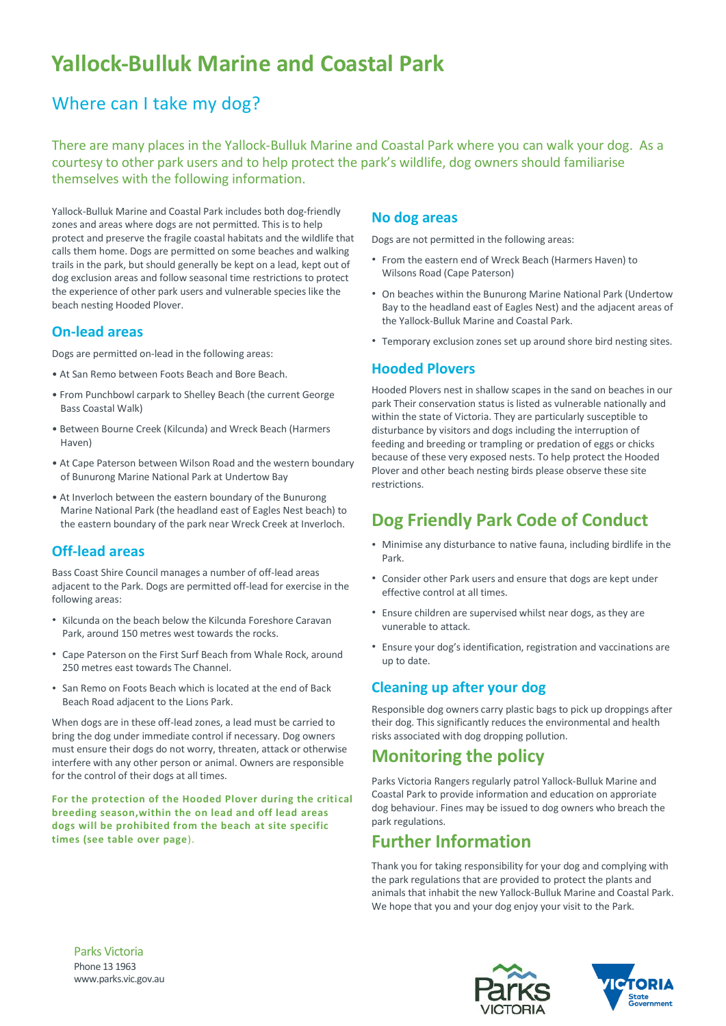# **Yallock-Bulluk Marine and Coastal Park**

# Where can I take my dog?

There are many places in the Yallock-Bulluk Marine and Coastal Park where you can walk your dog. As a courtesy to other park users and to help protect the park's wildlife, dog owners should familiarise themselves with the following information.

Yallock-Bulluk Marine and Coastal Park includes both dog-friendly zones and areas where dogs are not permitted. This is to help protect and preserve the fragile coastal habitats and the wildlife that calls them home. Dogs are permitted on some beaches and walking trails in the park, but should generally be kept on a lead, kept out of dog exclusion areas and follow seasonal time restrictions to protect the experience of other park users and vulnerable species like the beach nesting Hooded Plover.

### **On-lead areas**

Dogs are permitted on-lead in the following areas:

- At San Remo between Foots Beach and Bore Beach.
- From Punchbowl carpark to Shelley Beach (the current George Bass Coastal Walk)
- Between Bourne Creek (Kilcunda) and Wreck Beach (Harmers Haven)
- At Cape Paterson between Wilson Road and the western boundary of Bunurong Marine National Park at Undertow Bay
- At Inverloch between the eastern boundary of the Bunurong Marine National Park (the headland east of Eagles Nest beach) to the eastern boundary of the park near Wreck Creek at Inverloch.

### **Off-lead areas**

Bass Coast Shire Council manages a number of off-lead areas adjacent to the Park. Dogs are permitted off-lead for exercise in the following areas:

- Kilcunda on the beach below the Kilcunda Foreshore Caravan Park, around 150 metres west towards the rocks.
- Cape Paterson on the First Surf Beach from Whale Rock, around 250 metres east towards The Channel.
- San Remo on Foots Beach which is located at the end of Back Beach Road adjacent to the Lions Park.

When dogs are in these off-lead zones, a lead must be carried to bring the dog under immediate control if necessary. Dog owners must ensure their dogs do not worry, threaten, attack or otherwise interfere with any other person or animal. Owners are responsible for the control of their dogs at all times.

For the protection of the Hooded Plover during the critical **breeding season,within the on lead and off lead areas dogs will be prohibited from the beach at site specific times (see table over page**).

#### **No dog areas**

Dogs are not permitted in the following areas:

- From the eastern end of Wreck Beach (Harmers Haven) to Wilsons Road (Cape Paterson)
- On beaches within the Bunurong Marine National Park (Undertow Bay to the headland east of Eagles Nest) and the adjacent areas of the Yallock-Bulluk Marine and Coastal Park.
- Temporary exclusion zones set up around shore bird nesting sites.

#### **Hooded Plovers**

Hooded Plovers nest in shallow scapes in the sand on beaches in our park Their conservation status is listed as vulnerable nationally and within the state of Victoria. They are particularly susceptible to disturbance by visitors and dogs including the interruption of feeding and breeding or trampling or predation of eggs or chicks because of these very exposed nests. To help protect the Hooded Plover and other beach nesting birds please observe these site restrictions.

# **Dog Friendly Park Code of Conduct**

- Minimise any disturbance to native fauna, including birdlife in the Park.
- Consider other Park users and ensure that dogs are kept under effective control at all times.
- Ensure children are supervised whilst near dogs, as they are vunerable to attack.
- Ensure your dog's identification, registration and vaccinations are up to date.

### **Cleaning up after your dog**

Responsible dog owners carry plastic bags to pick up droppings after their dog. This significantly reduces the environmental and health risks associated with dog dropping pollution.

# **Monitoring the policy**

Parks Victoria Rangers regularly patrol Yallock-Bulluk Marine and Coastal Park to provide information and education on approriate dog behaviour. Fines may be issued to dog owners who breach the park regulations.

### **Further Information**

Thank you for taking responsibility for your dog and complying with the park regulations that are provided to protect the plants and animals that inhabit the new Yallock-Bulluk Marine and Coastal Park. We hope that you and your dog enjoy your visit to the Park.





Parks Victoria Phone 13 1963 www.parks.vic.gov.au